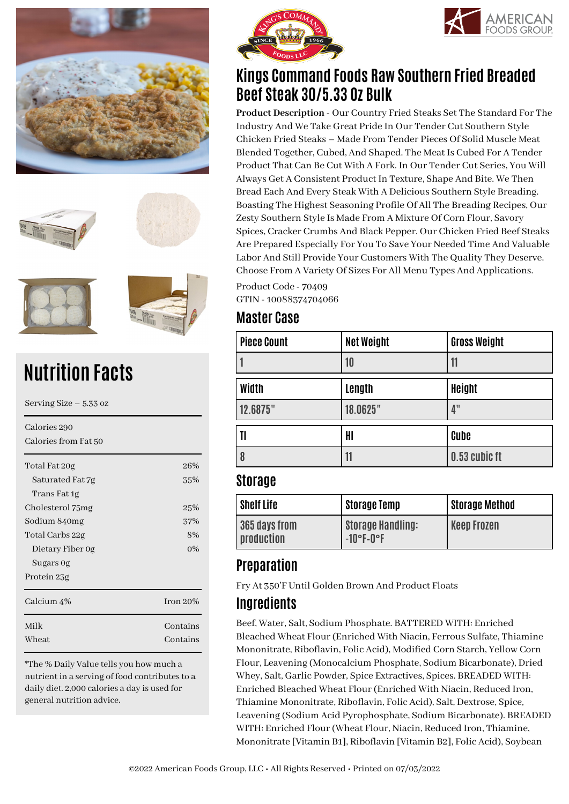









# **Nutrition Facts**

| Serving Size $-5.33$ oz |             |  |
|-------------------------|-------------|--|
| Calories 290            |             |  |
| Calories from Fat 50    |             |  |
| Total Fat 20g           | 26%         |  |
| Saturated Fat 7g        | 35%         |  |
| Trans Fat 1g            |             |  |
| Cholesterol 75mg        | 25%         |  |
| Sodium 840mg            | 37%         |  |
| Total Carbs 22g         | 8%          |  |
| Dietary Fiber 0g        | $0\%$       |  |
| Sugars Og               |             |  |
| Protein 23g             |             |  |
| Calcium 4%              | Iron $20\%$ |  |
| Milk                    | Contains    |  |
| Wheat                   | Contains    |  |

\*The % Daily Value tells you how much a nutrient in a serving of food contributes to a daily diet. 2,000 calories a day is used for general nutrition advice.





# **Kings Command Foods Raw Southern Fried Breaded Beef Steak 30/5.33 Oz Bulk**

**Product Description** - Our Country Fried Steaks Set The Standard For The Industry And We Take Great Pride In Our Tender Cut Southern Style Chicken Fried Steaks – Made From Tender Pieces Of Solid Muscle Meat Blended Together, Cubed, And Shaped. The Meat Is Cubed For A Tender Product That Can Be Cut With A Fork. In Our Tender Cut Series, You Will Always Get A Consistent Product In Texture, Shape And Bite. We Then Bread Each And Every Steak With A Delicious Southern Style Breading. Boasting The Highest Seasoning Profile Of All The Breading Recipes, Our Zesty Southern Style Is Made From A Mixture Of Corn Flour, Savory Spices, Cracker Crumbs And Black Pepper. Our Chicken Fried Beef Steaks Are Prepared Especially For You To Save Your Needed Time And Valuable Labor And Still Provide Your Customers With The Quality They Deserve. Choose From A Variety Of Sizes For All Menu Types And Applications.

Product Code - 70409 GTIN - 10088374704066

#### **Master Case**

| <b>Piece Count</b> | <b>Net Weight</b> | <b>Gross Weight</b> |
|--------------------|-------------------|---------------------|
|                    | 10                | 11                  |
| Width              | Length            | <b>Height</b>       |
| 12.6875"           | 18.0625"          | 4"                  |
| II                 | HI                | Cube                |
| 8                  | 11                | 0.53 cubic ft       |

#### **Storage**

| <b>Shelf Life</b>           | <b>Storage Temp</b>                      | <b>Storage Method</b> |
|-----------------------------|------------------------------------------|-----------------------|
| 365 days from<br>production | <b>Storage Handling:</b><br>$-10$ °F-0°F | <b>Keep Frozen</b>    |

## **Preparation**

Fry At 350'F Until Golden Brown And Product Floats

### **Ingredients**

Beef, Water, Salt, Sodium Phosphate. BATTERED WITH: Enriched Bleached Wheat Flour (Enriched With Niacin, Ferrous Sulfate, Thiamine Mononitrate, Riboflavin, Folic Acid), Modified Corn Starch, Yellow Corn Flour, Leavening (Monocalcium Phosphate, Sodium Bicarbonate), Dried Whey, Salt, Garlic Powder, Spice Extractives, Spices. BREADED WITH: Enriched Bleached Wheat Flour (Enriched With Niacin, Reduced Iron, Thiamine Mononitrate, Riboflavin, Folic Acid), Salt, Dextrose, Spice, Leavening (Sodium Acid Pyrophosphate, Sodium Bicarbonate). BREADED WITH: Enriched Flour (Wheat Flour, Niacin, Reduced Iron, Thiamine, Mononitrate [Vitamin B1], Riboflavin [Vitamin B2], Folic Acid), Soybean